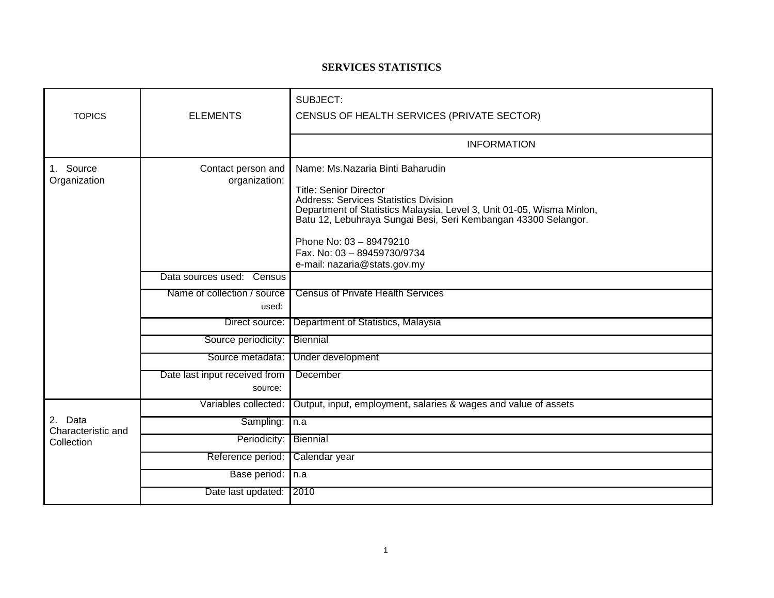## **SERVICES STATISTICS**

| <b>TOPICS</b>                               | <b>ELEMENTS</b>                          | SUBJECT:<br>CENSUS OF HEALTH SERVICES (PRIVATE SECTOR)                                                                                                                                                                                                                                                                 |
|---------------------------------------------|------------------------------------------|------------------------------------------------------------------------------------------------------------------------------------------------------------------------------------------------------------------------------------------------------------------------------------------------------------------------|
|                                             |                                          | <b>INFORMATION</b>                                                                                                                                                                                                                                                                                                     |
| 1. Source<br>Organization                   | Contact person and<br>organization:      | Name: Ms.Nazaria Binti Baharudin<br><b>Title: Senior Director</b><br><b>Address: Services Statistics Division</b><br>Department of Statistics Malaysia, Level 3, Unit 01-05, Wisma Minlon,<br>Batu 12, Lebuhraya Sungai Besi, Seri Kembangan 43300 Selangor.<br>Phone No: 03 - 89479210<br>Fax. No: 03 - 89459730/9734 |
|                                             | Data sources used: Census                | e-mail: nazaria@stats.gov.my                                                                                                                                                                                                                                                                                           |
|                                             | Name of collection / source<br>used:     | <b>Census of Private Health Services</b>                                                                                                                                                                                                                                                                               |
|                                             | Direct source:                           | Department of Statistics, Malaysia                                                                                                                                                                                                                                                                                     |
|                                             | Source periodicity:                      | Biennial                                                                                                                                                                                                                                                                                                               |
|                                             | Source metadata:                         | Under development                                                                                                                                                                                                                                                                                                      |
|                                             | Date last input received from<br>source: | December                                                                                                                                                                                                                                                                                                               |
| 2. Data<br>Characteristic and<br>Collection | Variables collected:                     | Output, input, employment, salaries & wages and value of assets                                                                                                                                                                                                                                                        |
|                                             | Sampling:                                | In.a                                                                                                                                                                                                                                                                                                                   |
|                                             | Periodicity:                             | Biennial                                                                                                                                                                                                                                                                                                               |
|                                             | Reference period:                        | Calendar year                                                                                                                                                                                                                                                                                                          |
|                                             | Base period:                             | In.a                                                                                                                                                                                                                                                                                                                   |
|                                             | Date last updated:                       | 2010                                                                                                                                                                                                                                                                                                                   |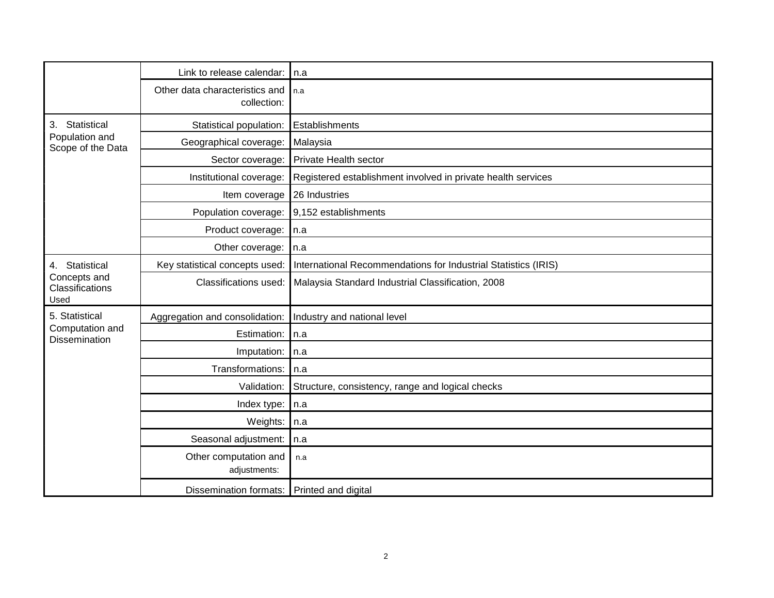|                                                           | Link to release calendar:                     | l n.a                                                          |
|-----------------------------------------------------------|-----------------------------------------------|----------------------------------------------------------------|
|                                                           | Other data characteristics and<br>collection: | l n.a                                                          |
| Statistical<br>3.<br>Population and<br>Scope of the Data  | Statistical population:                       | Establishments                                                 |
|                                                           | Geographical coverage:                        | Malaysia                                                       |
|                                                           | Sector coverage:                              | <b>Private Health sector</b>                                   |
|                                                           | Institutional coverage:                       | Registered establishment involved in private health services   |
|                                                           | Item coverage                                 | 26 Industries                                                  |
|                                                           | Population coverage:                          | 9,152 establishments                                           |
|                                                           | Product coverage:                             | In.a                                                           |
|                                                           | Other coverage:                               | $\mathsf{In}.\mathsf{a}$                                       |
| 4. Statistical<br>Concepts and<br>Classifications<br>Used | Key statistical concepts used:                | International Recommendations for Industrial Statistics (IRIS) |
|                                                           | Classifications used:                         | Malaysia Standard Industrial Classification, 2008              |
| 5. Statistical                                            | Aggregation and consolidation:                | Industry and national level                                    |
| Computation and<br>Dissemination                          | Estimation:                                   | In.a                                                           |
|                                                           | Imputation:                                   | n.a                                                            |
|                                                           | Transformations:                              | n.a                                                            |
|                                                           | Validation:                                   | Structure, consistency, range and logical checks               |
|                                                           | Index type:                                   | n.a                                                            |
|                                                           | Weights:                                      | n.a                                                            |
|                                                           | Seasonal adjustment:                          | n.a                                                            |
|                                                           | Other computation and<br>adjustments:         | n.a                                                            |
|                                                           | Dissemination formats: Printed and digital    |                                                                |